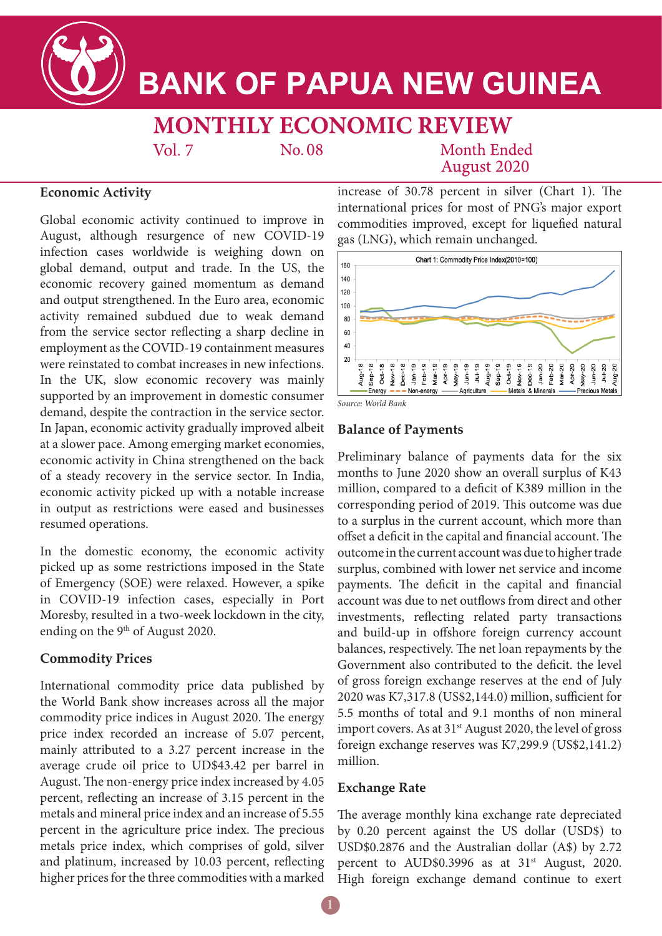

# **BANK OF PAPUA NEW GUINEA**

## **MONTHLY ECONOMIC REVIEW**

No.08

**Month Ended August 2020** 

#### **Economic Activity**

Global economic activity continued to improve in August, although resurgence of new COVID-19 infection cases worldwide is weighing down on global demand, output and trade. In the US, the economic recovery gained momentum as demand and output strengthened. In the Euro area, economic activity remained subdued due to weak demand from the service sector reflecting a sharp decline in employment as the COVID-19 containment measures were reinstated to combat increases in new infections. In the UK, slow economic recovery was mainly supported by an improvement in domestic consumer demand, despite the contraction in the service sector. In Japan, economic activity gradually improved albeit at a slower pace. Among emerging market economies, economic activity in China strengthened on the back of a steady recovery in the service sector. In India, economic activity picked up with a notable increase in output as restrictions were eased and businesses resumed operations.

 $Vol$  7

In the domestic economy, the economic activity picked up as some restrictions imposed in the State of Emergency (SOE) were relaxed. However, a spike in COVID-19 infection cases, especially in Port Moresby, resulted in a two-week lockdown in the city, ending on the 9<sup>th</sup> of August 2020.

#### **Commodity Prices**

International commodity price data published by the World Bank show increases across all the major commodity price indices in August 2020. The energy price index recorded an increase of 5.07 percent, mainly attributed to a 3.27 percent increase in the average crude oil price to UD\$43.42 per barrel in August. The non-energy price index increased by 4.05 percent, reflecting an increase of 3.15 percent in the metals and mineral price index and an increase of 5.55 percent in the agriculture price index. The precious metals price index, which comprises of gold, silver and platinum, increased by 10.03 percent, reflecting higher prices for the three commodities with a marked increase of 30.78 percent in silver (Chart 1). The international prices for most of PNG's major export commodities improved, except for liquefied natural gas (LNG), which remain unchanged.



*Source: World Bank*

#### **Balance of Payments**

Preliminary balance of payments data for the six months to June 2020 show an overall surplus of K43 million, compared to a deficit of K389 million in the corresponding period of 2019. This outcome was due to a surplus in the current account, which more than offset a deficit in the capital and financial account. The outcome in the current account was due to higher trade surplus, combined with lower net service and income payments. The deficit in the capital and financial account was due to net outflows from direct and other investments, reflecting related party transactions and build-up in offshore foreign currency account balances, respectively. The net loan repayments by the Government also contributed to the deficit. the level of gross foreign exchange reserves at the end of July 2020 was K7,317.8 (US\$2,144.0) million, sufficient for 5.5 months of total and 9.1 months of non mineral import covers. As at 31<sup>st</sup> August 2020, the level of gross foreign exchange reserves was K7,299.9 (US\$2,141.2) million.

#### **Exchange Rate**

The average monthly kina exchange rate depreciated by 0.20 percent against the US dollar (USD\$) to USD\$0.2876 and the Australian dollar (A\$) by 2.72 percent to AUD\$0.3996 as at 31<sup>st</sup> August, 2020. High foreign exchange demand continue to exert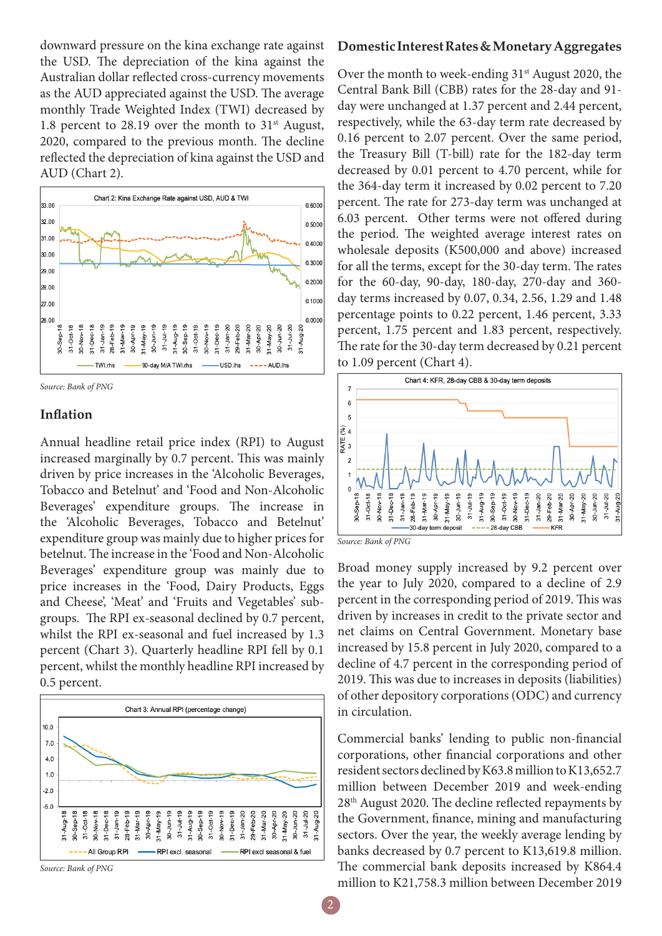downward pressure on the kina exchange rate against the USD. The depreciation of the kina against the Australian dollar reflected cross-currency movements as the AUD appreciated against the USD. The average monthly Trade Weighted Index (TWI) decreased by 1.8 percent to 28.19 over the month to  $31<sup>st</sup>$  August, 2020, compared to the previous month. The decline reflected the depreciation of kina against the USD and AUD (Chart 2).



*Source: Bank of PNG*

#### **Inflation**

Annual headline retail price index (RPI) to August increased marginally by 0.7 percent. This was mainly driven by price increases in the 'Alcoholic Beverages, Tobacco and Betelnut' and 'Food and Non-Alcoholic Beverages' expenditure groups. The increase in the 'Alcoholic Beverages, Tobacco and Betelnut' expenditure group was mainly due to higher prices for betelnut. The increase in the 'Food and Non-Alcoholic Beverages' expenditure group was mainly due to price increases in the 'Food, Dairy Products, Eggs and Cheese', 'Meat' and 'Fruits and Vegetables' subgroups. The RPI ex-seasonal declined by 0.7 percent, whilst the RPI ex-seasonal and fuel increased by 1.3 percent (Chart 3). Quarterly headline RPI fell by 0.1 percent, whilst the monthly headline RPI increased by 0.5 percent.



*Source: Bank of PNG*

#### **Domestic Interest Rates & Monetary Aggregates**

Over the month to week-ending  $31<sup>st</sup>$  August 2020, the Central Bank Bill (CBB) rates for the 28-day and 91 day were unchanged at 1.37 percent and 2.44 percent, respectively, while the 63-day term rate decreased by 0.16 percent to 2.07 percent. Over the same period, the Treasury Bill (T-bill) rate for the 182-day term decreased by 0.01 percent to 4.70 percent, while for the 364-day term it increased by 0.02 percent to 7.20 percent. The rate for 273-day term was unchanged at 6.03 percent. Other terms were not offered during the period. The weighted average interest rates on wholesale deposits (K500,000 and above) increased for all the terms, except for the 30-day term. The rates for the 60-day, 90-day, 180-day, 270-day and 360 day terms increased by 0.07, 0.34, 2.56, 1.29 and 1.48 percentage points to 0.22 percent, 1.46 percent, 3.33 percent, 1.75 percent and 1.83 percent, respectively. The rate for the 30-day term decreased by 0.21 percent to 1.09 percent (Chart 4).



*Source: Bank of PNG*

Broad money supply increased by 9.2 percent over the year to July 2020, compared to a decline of 2.9 percent in the corresponding period of 2019. This was driven by increases in credit to the private sector and net claims on Central Government. Monetary base increased by 15.8 percent in July 2020, compared to a decline of 4.7 percent in the corresponding period of 2019. This was due to increases in deposits (liabilities) of other depository corporations (ODC) and currency in circulation.

Commercial banks' lending to public non-financial corporations, other financial corporations and other resident sectors declined by K63.8 million to K13,652.7 million between December 2019 and week-ending 28th August 2020. The decline reflected repayments by the Government, finance, mining and manufacturing sectors. Over the year, the weekly average lending by banks decreased by 0.7 percent to K13,619.8 million. The commercial bank deposits increased by K864.4 million to K21,758.3 million between December 2019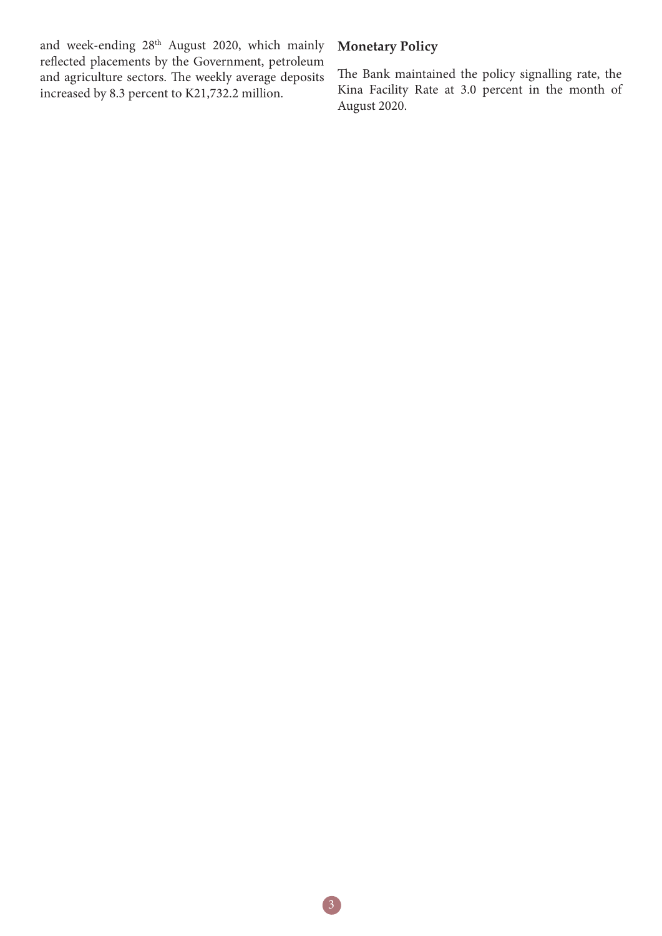and week-ending 28th August 2020, which mainly reflected placements by the Government, petroleum and agriculture sectors. The weekly average deposits increased by 8.3 percent to K21,732.2 million.

### **Monetary Policy**

The Bank maintained the policy signalling rate, the Kina Facility Rate at 3.0 percent in the month of August 2020.